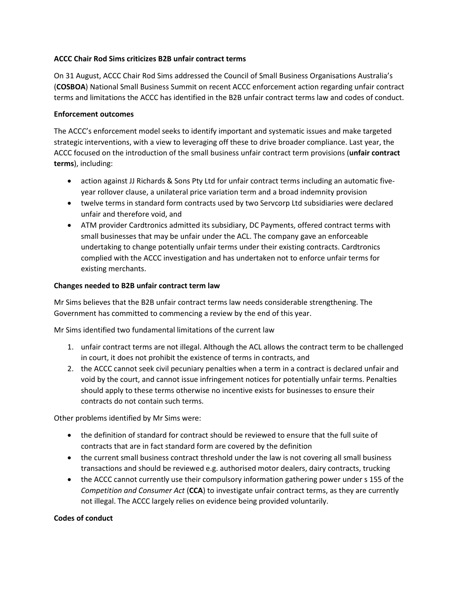## **ACCC Chair Rod Sims criticizes B2B unfair contract terms**

On 31 August, ACCC Chair Rod Sims addressed the Council of Small Business Organisations Australia's (**COSBOA**) National Small Business Summit on recent ACCC enforcement action regarding unfair contract terms and limitations the ACCC has identified in the B2B unfair contract terms law and codes of conduct.

## **Enforcement outcomes**

The ACCC's enforcement model seeks to identify important and systematic issues and make targeted strategic interventions, with a view to leveraging off these to drive broader compliance. Last year, the ACCC focused on the introduction of the small business unfair contract term provisions (**unfair contract terms**), including:

- action against JJ Richards & Sons Pty Ltd for unfair contract terms including an automatic fiveyear rollover clause, a unilateral price variation term and a broad indemnity provision
- twelve terms in standard form contracts used by two Servcorp Ltd subsidiaries were declared unfair and therefore void, and
- ATM provider Cardtronics admitted its subsidiary, DC Payments, offered contract terms with small businesses that may be unfair under the ACL. The company gave an enforceable undertaking to change potentially unfair terms under their existing contracts. Cardtronics complied with the ACCC investigation and has undertaken not to enforce unfair terms for existing merchants.

## **Changes needed to B2B unfair contract term law**

Mr Sims believes that the B2B unfair contract terms law needs considerable strengthening. The Government has committed to commencing a review by the end of this year.

Mr Sims identified two fundamental limitations of the current law

- 1. unfair contract terms are not illegal. Although the ACL allows the contract term to be challenged in court, it does not prohibit the existence of terms in contracts, and
- 2. the ACCC cannot seek civil pecuniary penalties when a term in a contract is declared unfair and void by the court, and cannot issue infringement notices for potentially unfair terms. Penalties should apply to these terms otherwise no incentive exists for businesses to ensure their contracts do not contain such terms.

Other problems identified by Mr Sims were:

- the definition of standard for contract should be reviewed to ensure that the full suite of contracts that are in fact standard form are covered by the definition
- the current small business contract threshold under the law is not covering all small business transactions and should be reviewed e.g. authorised motor dealers, dairy contracts, trucking
- the ACCC cannot currently use their compulsory information gathering power under s 155 of the *Competition and Consumer Act* (**CCA**) to investigate unfair contract terms, as they are currently not illegal. The ACCC largely relies on evidence being provided voluntarily.

## **Codes of conduct**